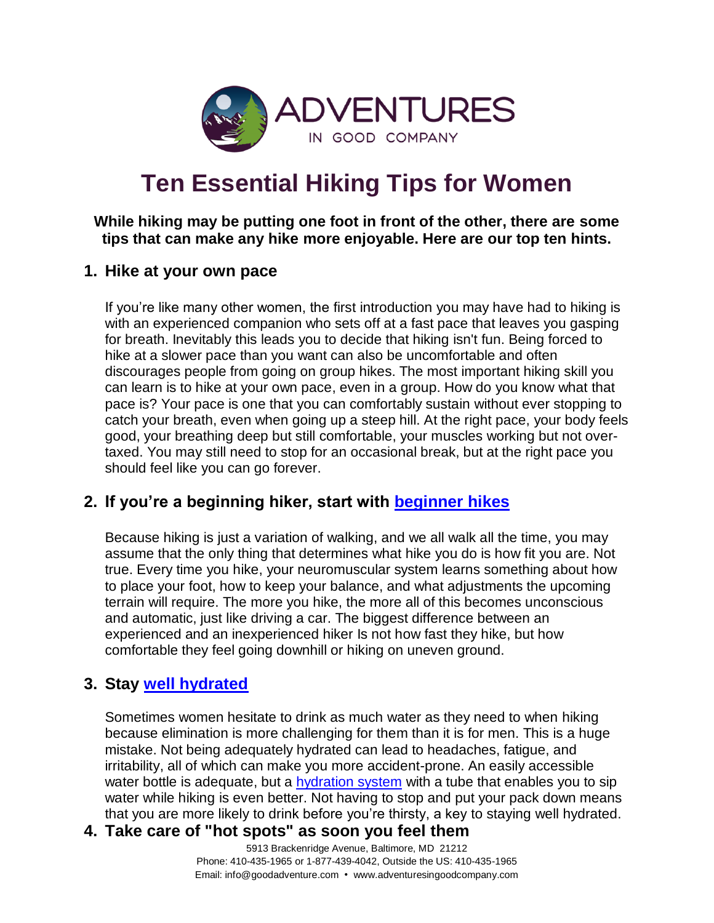

# **Ten Essential Hiking Tips for Women**

#### **While hiking may be putting one foot in front of the other, there are some tips that can make any hike more enjoyable. Here are our top ten hints.**

#### **1. Hike at your own pace**

If you're like many other women, the first introduction you may have had to hiking is with an experienced companion who sets off at a fast pace that leaves you gasping for breath. Inevitably this leads you to decide that hiking isn't fun. Being forced to hike at a slower pace than you want can also be uncomfortable and often discourages people from going on group hikes. The most important hiking skill you can learn is to hike at your own pace, even in a group. How do you know what that pace is? Your pace is one that you can comfortably sustain without ever stopping to catch your breath, even when going up a steep hill. At the right pace, your body feels good, your breathing deep but still comfortable, your muscles working but not overtaxed. You may still need to stop for an occasional break, but at the right pace you should feel like you can go forever.

# **2. If you're a beginning hiker, start with [beginner hikes](http://blog.adventuresingoodcompany.com/blog/bid/139327/Should-novice-hikers-go-on-beginner-hiking-trips)**

Because hiking is just a variation of walking, and we all walk all the time, you may assume that the only thing that determines what hike you do is how fit you are. Not true. Every time you hike, your neuromuscular system learns something about how to place your foot, how to keep your balance, and what adjustments the upcoming terrain will require. The more you hike, the more all of this becomes unconscious and automatic, just like driving a car. The biggest difference between an experienced and an inexperienced hiker Is not how fast they hike, but how comfortable they feel going downhill or hiking on uneven ground.

# **3. Stay [well hydrated](http://blog.adventuresingoodcompany.com/blog/bid/144582/hydration-and-hiking-trips-how-much-water-do-you-need)**

Sometimes women hesitate to drink as much water as they need to when hiking because elimination is more challenging for them than it is for men. This is a huge mistake. Not being adequately hydrated can lead to headaches, fatigue, and irritability, all of which can make you more accident-prone. An easily accessible water bottle is adequate, but a **hydration system** with a tube that enables you to sip water while hiking is even better. Not having to stop and put your pack down means that you are more likely to drink before you're thirsty, a key to staying well hydrated.

#### **4. Take care of "hot spots" as soon you feel them**

5913 Brackenridge Avenue, Baltimore, MD 21212 Phone: 410-435-1965 or 1-877-439-4042, Outside the US: 410-435-1965 Email: info@goodadventure.com • www.adventuresingoodcompany.com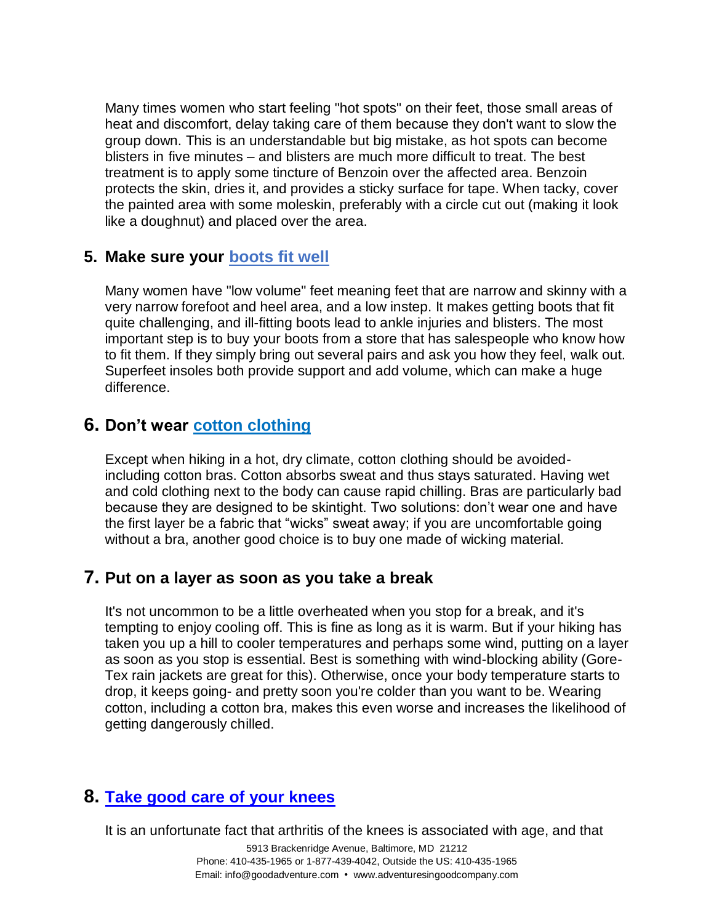Many times women who start feeling "hot spots" on their feet, those small areas of heat and discomfort, delay taking care of them because they don't want to slow the group down. This is an understandable but big mistake, as hot spots can become blisters in five minutes – and blisters are much more difficult to treat. The best treatment is to apply some tincture of Benzoin over the affected area. Benzoin protects the skin, dries it, and provides a sticky surface for tape. When tacky, cover the painted area with some moleskin, preferably with a circle cut out (making it look like a doughnut) and placed over the area.

## **5. Make sure your [boots fit well](http://blog.adventuresingoodcompany.com/blog/bid/120660/If-the-shoe-fits-tips-to-buying-hiking-boots)**

Many women have "low volume" feet meaning feet that are narrow and skinny with a very narrow forefoot and heel area, and a low instep. It makes getting boots that fit quite challenging, and ill-fitting boots lead to ankle injuries and blisters. The most important step is to buy your boots from a store that has salespeople who know how to fit them. If they simply bring out several pairs and ask you how they feel, walk out. Superfeet insoles both provide support and add volume, which can make a huge difference.

## **6. Don't wear [cotton clothing](http://blog.adventuresingoodcompany.com/blog/bid/72197/outdoor-tips-and-topics-does-cotton-really-kill)**

Except when hiking in a hot, dry climate, cotton clothing should be avoidedincluding cotton bras. Cotton absorbs sweat and thus stays saturated. Having wet and cold clothing next to the body can cause rapid chilling. Bras are particularly bad because they are designed to be skintight. Two solutions: don't wear one and have the first layer be a fabric that "wicks" sweat away; if you are uncomfortable going without a bra, another good choice is to buy one made of wicking material.

## **7. Put on a layer as soon as you take a break**

It's not uncommon to be a little overheated when you stop for a break, and it's tempting to enjoy cooling off. This is fine as long as it is warm. But if your hiking has taken you up a hill to cooler temperatures and perhaps some wind, putting on a layer as soon as you stop is essential. Best is something with wind-blocking ability (Gore-Tex rain jackets are great for this). Otherwise, once your body temperature starts to drop, it keeps going- and pretty soon you're colder than you want to be. Wearing cotton, including a cotton bra, makes this even worse and increases the likelihood of getting dangerously chilled.

# **8. [Take good care of your knees](http://blog.adventuresingoodcompany.com/blog/bid/99045/hiking-tips-5-steps-to-save-your-knees)**

It is an unfortunate fact that arthritis of the knees is associated with age, and that

5913 Brackenridge Avenue, Baltimore, MD 21212 Phone: 410-435-1965 or 1-877-439-4042, Outside the US: 410-435-1965 Email: info@goodadventure.com • www.adventuresingoodcompany.com